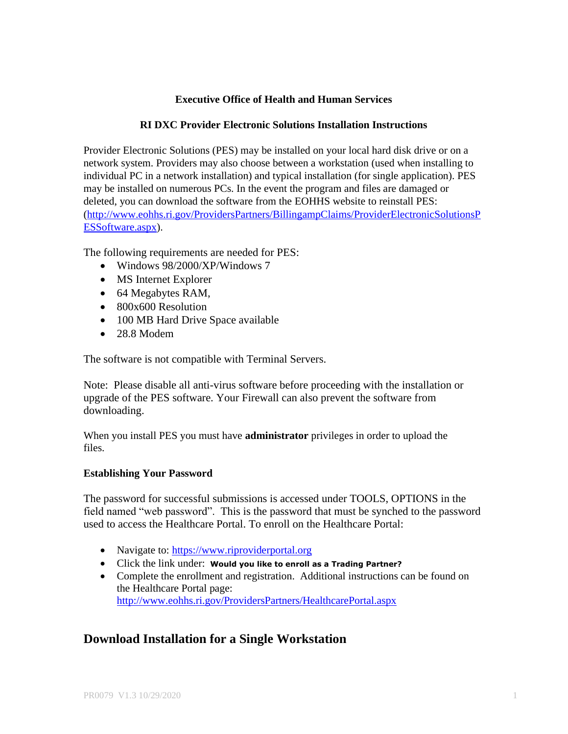## **Executive Office of Health and Human Services**

### **RI DXC Provider Electronic Solutions Installation Instructions**

Provider Electronic Solutions (PES) may be installed on your local hard disk drive or on a network system. Providers may also choose between a workstation (used when installing to individual PC in a network installation) and typical installation (for single application). PES may be installed on numerous PCs. In the event the program and files are damaged or deleted, you can download the software from the EOHHS website to reinstall PES: [\(http://www.eohhs.ri.gov/ProvidersPartners/BillingampClaims/ProviderElectronicSolutionsP](http://www.eohhs.ri.gov/ProvidersPartners/BillingampClaims/ProviderElectronicSolutionsPESSoftware.aspx) [ESSoftware.aspx\)](http://www.eohhs.ri.gov/ProvidersPartners/BillingampClaims/ProviderElectronicSolutionsPESSoftware.aspx).

The following requirements are needed for PES:

- Windows 98/2000/XP/Windows 7
- MS Internet Explorer
- 64 Megabytes RAM,
- 800x600 Resolution
- 100 MB Hard Drive Space available
- 28.8 Modem

The software is not compatible with Terminal Servers.

Note: Please disable all anti-virus software before proceeding with the installation or upgrade of the PES software. Your Firewall can also prevent the software from downloading.

When you install PES you must have **administrator** privileges in order to upload the files.

### **Establishing Your Password**

The password for successful submissions is accessed under TOOLS, OPTIONS in the field named "web password". This is the password that must be synched to the password used to access the Healthcare Portal. To enroll on the Healthcare Portal:

- Navigate to: [https://www.riproviderportal.org](https://www.riproviderportal.org/)
- Click the link under: **Would you like to enroll as a Trading Partner?**
- Complete the enrollment and registration. Additional instructions can be found on the Healthcare Portal page: <http://www.eohhs.ri.gov/ProvidersPartners/HealthcarePortal.aspx>

# **Download Installation for a Single Workstation**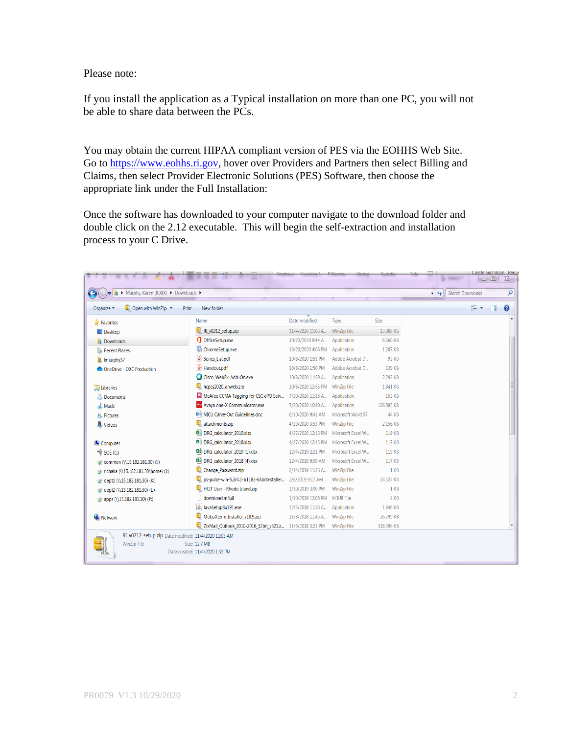Please note:

If you install the application as a Typical installation on more than one PC, you will not be able to share data between the PCs.

You may obtain the current HIPAA compliant version of PES via the EOHHS Web Site. Go to [https://www.eohhs.ri.gov,](https://www.eohhs.ri.gov/) hover over Providers and Partners then select Billing and Claims, then select Provider Electronic Solutions (PES) Software, then choose the appropriate link under the Full Installation:

Once the software has downloaded to your computer navigate to the download folder and double click on the 2.12 executable. This will begin the self-extraction and installation process to your C Drive.

| $\Box$ Open with WinZip $\blacktriangledown$<br>Organize - | New folder<br>Print                                      |                    |                    |                 | <b>胆 ▼</b> | $\Box$ | 0 |
|------------------------------------------------------------|----------------------------------------------------------|--------------------|--------------------|-----------------|------------|--------|---|
| Favorites                                                  | Name                                                     | Date modified      | Type               | Size            |            |        |   |
| Desktop                                                    | RI_v0212_setup.zip                                       | 11/4/2020 11:03 A  | WinZip File        | 13,008 KB       |            |        |   |
| <b>Downloads</b>                                           | <b>OfficeSetup.exe</b>                                   | 10/23/2020 8:44 A  | Application        | 6,360 KB        |            |        |   |
| <b>Recent Places</b>                                       | ChromeSetup.exe                                          | 10/20/2020 4:06 PM | Application        | 1.287 KB        |            |        |   |
| R kmurphy37                                                | Series_List.pdf                                          | 10/8/2020 1:51 PM  | Adobe Acrobat D    | 93 KB           |            |        |   |
| OneDrive - DXC Production                                  | $\Box$ Handout.pdf                                       | 10/8/2020 1:50 PM  | Adobe Acrobat D    | 139 KB          |            |        |   |
|                                                            | Cisco WebEx Add-On.exe                                   | 10/8/2020 11:59 A  | Application        | 2,293 KB        |            |        |   |
| Libraries                                                  | hcpcs2020 anweb.zip                                      | 10/6/2020 12:55 PM | <b>WinZip File</b> | 1,841 KB        |            |        |   |
| Documents                                                  | McAfee CCMA Tagging for CSC ePO Serv                     | 7/20/2020 11:15 A  | Application        | 153 KB          |            |        |   |
| Music                                                      | Avaya one-X Communicator.exe                             | 7/20/2020 10:40 A  | Application        | 126.085 KB      |            |        |   |
| Pictures                                                   | NICU Carve-Out Guidelines.doc                            | 6/10/2020 9:41 AM  | Microsoft Word 97  | <b>44 KB</b>    |            |        |   |
| Videos                                                     | attachments.zip                                          | 4/29/2020 3:53 PM  | <b>WinZip File</b> | 2.156 KB        |            |        |   |
|                                                            | 图 DRG_calculator_2019.xlsx                               | 4/27/2020 12:15 PM | Microsoft Excel W  | 119 KB          |            |        |   |
| <b>IM</b> Computer                                         | <b>DE DRG_calculator_2018.xlsx</b>                       | 4/27/2020 12:15 PM | Microsoft Excel W  | 117 KB          |            |        |   |
| $\blacktriangleright$ SOE (C:)                             | <sup>图</sup> DRG_calculator_2019 (1).xlsx                | 12/4/2019 2:21 PM  | Microsoft Excel W  | 119 KB          |            |        |   |
| common (\\15.182.181.30) (I:)                              | <sup>图</sup> DRG_calculator_2018 (4).xlsx                | 12/4/2019 9:39 AM  | Microsoft Excel W  | 117 KB          |            |        |   |
| richaka (\\15.182.181.30\home) (J:)                        | Change Password.zip                                      | 2/14/2019 11:26 A  | <b>WinZip File</b> | 1 KB            |            |        |   |
| dept1 (\\15.182.181.30) (K:)                               | ps-pulse-win-5.3r4.1-b1183-64bitinstaller                | 2/6/2019 9:17 AM   | <b>WinZip File</b> | 14.324 KB       |            |        |   |
| dept2 (\\15.182.181.30) (L:)                               | HCIT User - Rhode Island.zip                             | 1/10/2019 3:00 PM  | <b>WinZip File</b> | 1 <sub>KB</sub> |            |        |   |
| apps (\\15.182.181.30) (P:)                                | download.m3u8                                            | 1/10/2019 12:06 PM | M3U8 File          | $2$ KB          |            |        |   |
|                                                            | JavaSetup8u191.exe                                       | 12/3/2018 11:56 A  | Application        | 1.846 KB        |            |        |   |
| Network                                                    | MobaXterm Installer v10.9.zip                            | 11/8/2018 11:45 A  | <b>WinZip File</b> | 26,799 KB       |            |        |   |
|                                                            | ZixMail_Outlook_2010-2016_32bit_v521.z 11/6/2018 3:23 PM |                    | <b>WinZip File</b> | 318,596 KB      |            |        |   |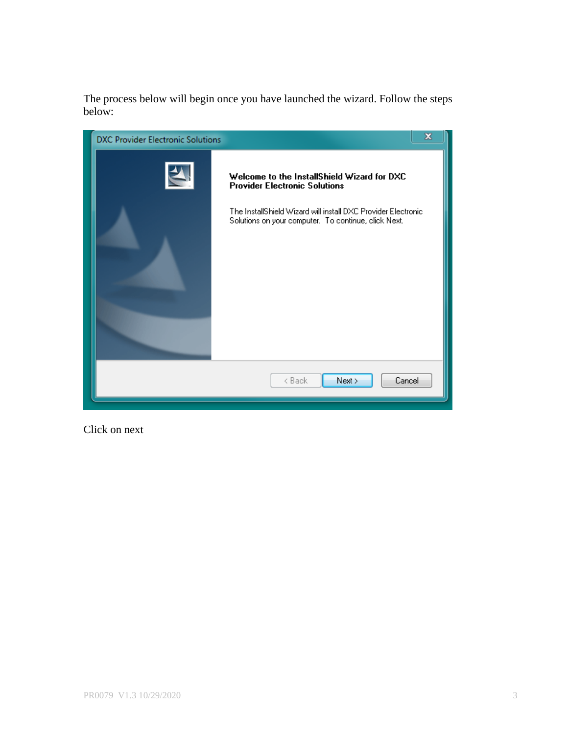The process below will begin once you have launched the wizard. Follow the steps below:



Click on next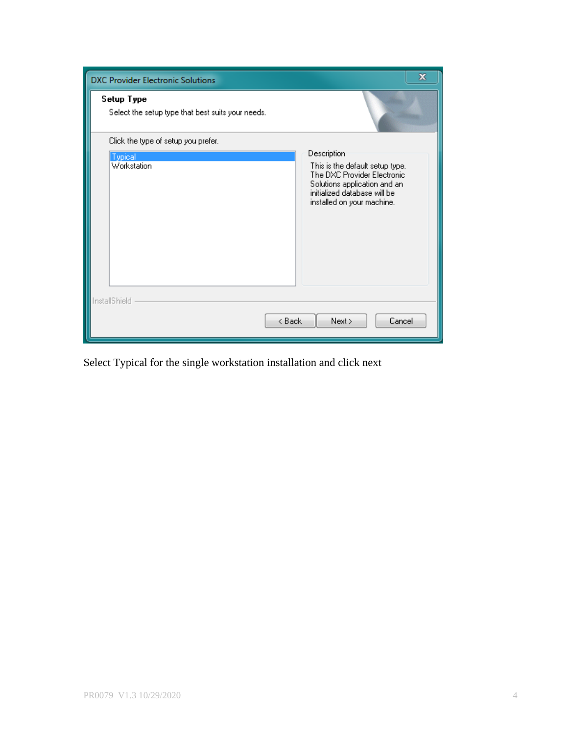| <b>DXC Provider Electronic Solutions</b>                        |                                                                                                                                                              | x |
|-----------------------------------------------------------------|--------------------------------------------------------------------------------------------------------------------------------------------------------------|---|
| Setup Type<br>Select the setup type that best suits your needs. |                                                                                                                                                              |   |
| Click the type of setup you prefer.                             |                                                                                                                                                              |   |
| Typical                                                         | Description                                                                                                                                                  |   |
| Workstation                                                     | This is the default setup type.<br>The DXC Provider Electronic<br>Solutions application and an<br>initialized database will be<br>installed on your machine. |   |
| InstallShield<br>< Back                                         | Next<br>Cancel                                                                                                                                               |   |

Select Typical for the single workstation installation and click next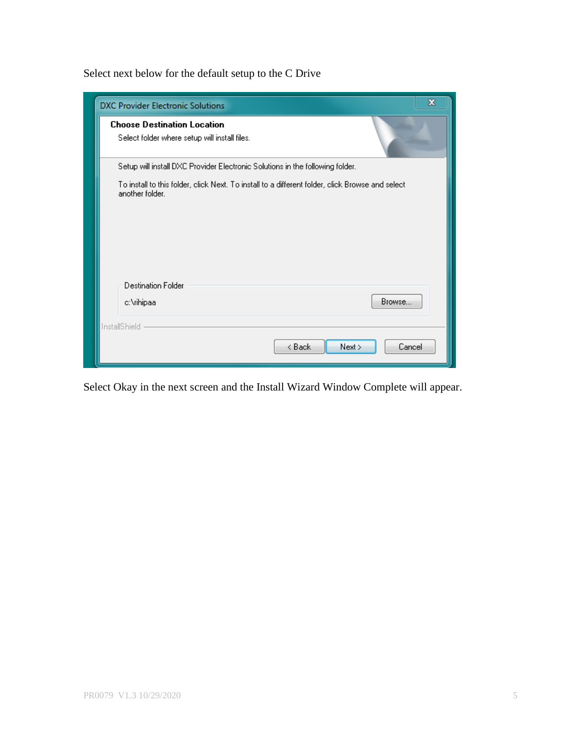Select next below for the default setup to the C Drive

| x<br><b>DXC Provider Electronic Solutions</b>                                                                       |
|---------------------------------------------------------------------------------------------------------------------|
| <b>Choose Destination Location</b>                                                                                  |
| Select folder where setup will install files.                                                                       |
| Setup will install DXC Provider Electronic Solutions in the following folder.                                       |
| To install to this folder, click Next. To install to a different folder, click Browse and select<br>another folder. |
|                                                                                                                     |
|                                                                                                                     |
| <b>Destination Folder</b>                                                                                           |
| Browse<br>c:\rihipaa                                                                                                |
| InstallShield                                                                                                       |
| < Back<br>Next<br>Cancel                                                                                            |

Select Okay in the next screen and the Install Wizard Window Complete will appear.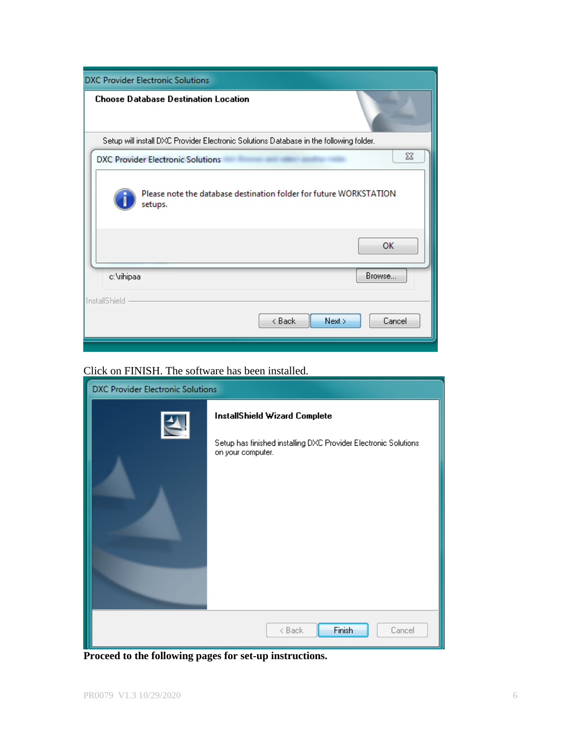| <b>DXC Provider Electronic Solutions</b>                                               |
|----------------------------------------------------------------------------------------|
| <b>Choose Database Destination Location</b>                                            |
| Setup will install DXC Provider Electronic Solutions Database in the following folder. |
| ΣŜ<br><b>DXC Provider Electronic Solutions</b>                                         |
| Please note the database destination folder for future WORKSTATION<br>setups.<br>OK    |
| Browse<br>c:\rihipaa                                                                   |
| InstallShield<br>< Back<br>Next<br>Cancel                                              |

# Click on FINISH. The software has been installed.

| <b>DXC Provider Electronic Solutions</b> |                                                                                                                              |  |  |  |
|------------------------------------------|------------------------------------------------------------------------------------------------------------------------------|--|--|--|
| $\blacktriangle$                         | <b>InstallShield Wizard Complete</b><br>Setup has finished installing DXC Provider Electronic Solutions<br>on your computer. |  |  |  |
|                                          | Finish<br>< Back<br>Cancel                                                                                                   |  |  |  |

**Proceed to the following pages for set-up instructions.**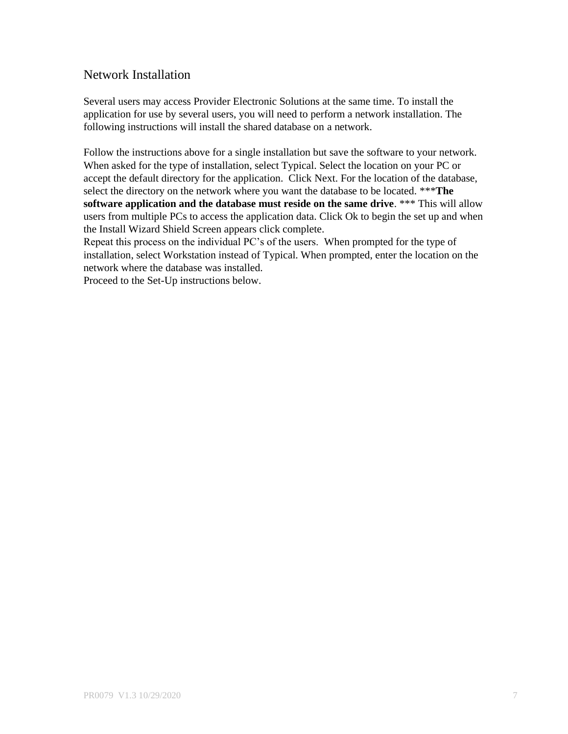# Network Installation

Several users may access Provider Electronic Solutions at the same time. To install the application for use by several users, you will need to perform a network installation. The following instructions will install the shared database on a network.

Follow the instructions above for a single installation but save the software to your network. When asked for the type of installation, select Typical. Select the location on your PC or accept the default directory for the application. Click Next. For the location of the database, select the directory on the network where you want the database to be located. \*\*\***The software application and the database must reside on the same drive**. \*\*\* This will allow users from multiple PCs to access the application data. Click Ok to begin the set up and when the Install Wizard Shield Screen appears click complete.

Repeat this process on the individual PC's of the users. When prompted for the type of installation, select Workstation instead of Typical. When prompted, enter the location on the network where the database was installed.

Proceed to the Set-Up instructions below.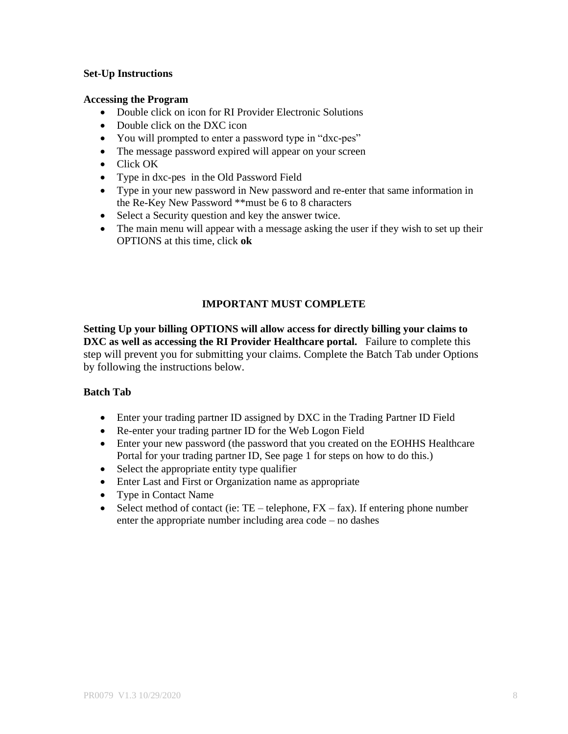### **Set-Up Instructions**

#### **Accessing the Program**

- Double click on icon for RI Provider Electronic Solutions
- Double click on the DXC icon
- You will prompted to enter a password type in "dxc-pes"
- The message password expired will appear on your screen
- Click OK
- Type in dxc-pes in the Old Password Field
- Type in your new password in New password and re-enter that same information in the Re-Key New Password \*\*must be 6 to 8 characters
- Select a Security question and key the answer twice.
- The main menu will appear with a message asking the user if they wish to set up their OPTIONS at this time, click **ok**

### **IMPORTANT MUST COMPLETE**

**Setting Up your billing OPTIONS will allow access for directly billing your claims to DXC as well as accessing the RI Provider Healthcare portal.** Failure to complete this step will prevent you for submitting your claims. Complete the Batch Tab under Options by following the instructions below.

#### **Batch Tab**

- Enter your trading partner ID assigned by DXC in the Trading Partner ID Field
- Re-enter your trading partner ID for the Web Logon Field
- Enter your new password (the password that you created on the EOHHS Healthcare Portal for your trading partner ID, See page 1 for steps on how to do this.)
- Select the appropriate entity type qualifier
- Enter Last and First or Organization name as appropriate
- Type in Contact Name
- Select method of contact (ie:  $TE$  telephone,  $FX fax$ ). If entering phone number enter the appropriate number including area code – no dashes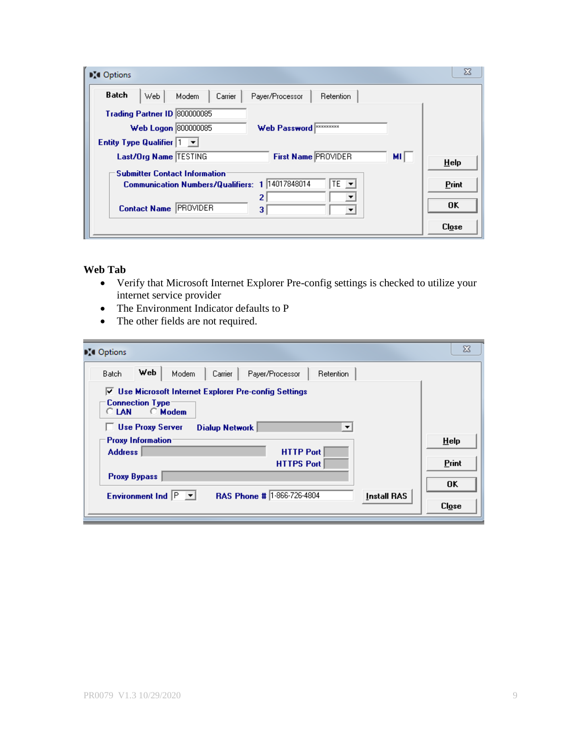| <b>DI</b> Options                                                             | X            |
|-------------------------------------------------------------------------------|--------------|
| <b>Batch</b><br>Web.<br>Carrier<br>Modem<br>Payer/Processor<br>Retention      |              |
| Trading Partner ID 800000085                                                  |              |
| Web Logon 800000085<br><b>EXXXXXXXX</b><br><b>Web Password</b>                |              |
| <b>Entity Type Qualifier 1</b><br>╶╶                                          |              |
| First Name PROVIDER<br>Last/Org Name TESTING<br>мı                            | $He$ lp      |
| <b>Submitter Contact Information</b>                                          |              |
| Communication Numbers/Qualifiers: 1 14017848014<br>$TE$ $\blacktriangleright$ | Print        |
| 2<br><b>IPROVIDER</b><br><b>Contact Name</b><br>3<br>▼                        | 0K           |
|                                                                               | <b>Close</b> |

#### **Web Tab**

- Verify that Microsoft Internet Explorer Pre-config settings is checked to utilize your internet service provider
- The Environment Indicator defaults to P
- The other fields are not required.

| <b>D</b> <sup>t</sup> Options                                                                                                                                               | $\Sigma$ |  |  |  |
|-----------------------------------------------------------------------------------------------------------------------------------------------------------------------------|----------|--|--|--|
| Web<br>Batch<br>Modem<br>Carrier<br><b>Retention</b><br>Payer/Processor                                                                                                     |          |  |  |  |
| ○ Use Microsoft Internet Explorer Pre-config Settings<br><b>Connection Type</b><br>$\bigcirc$ Modem<br><b>CLAN</b><br><b>Use Proxy Server</b><br><b>Dialup Network</b><br>▼ |          |  |  |  |
| <b>Proxy Information</b><br><b>HTTP Port</b><br><b>Address</b>                                                                                                              | HeIp     |  |  |  |
| <b>HTTPS Port</b>                                                                                                                                                           | Print    |  |  |  |
| <b>Proxy Bypass</b>                                                                                                                                                         | OK       |  |  |  |
| RAS Phone # 1-866-726-4804<br>Environment Ind $ P $<br>Install RAS<br>$\vert \mathbf{v} \vert$                                                                              | Close    |  |  |  |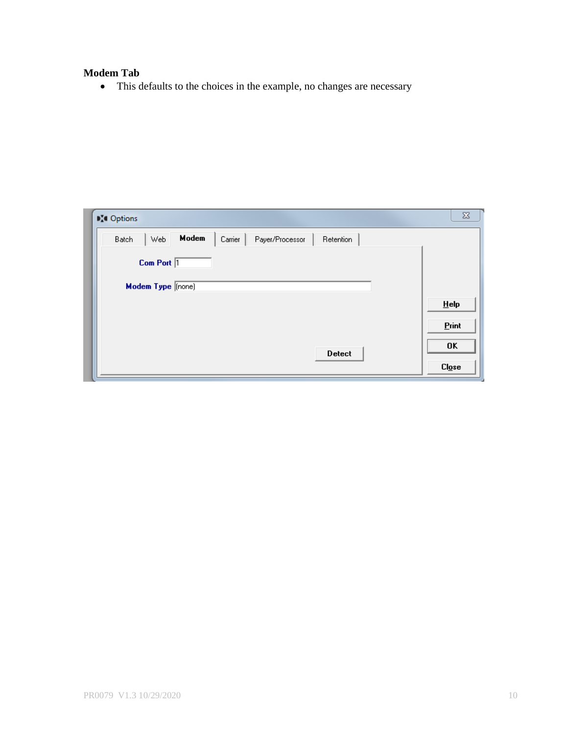# **Modem Tab**

• This defaults to the choices in the example, no changes are necessary

| <b>DI</b> Options                                                       | $\Sigma\!$                        |
|-------------------------------------------------------------------------|-----------------------------------|
| Modem<br>Web<br>Carrier<br><b>Batch</b><br>Payer/Processor<br>Retention |                                   |
| Com Port 1                                                              |                                   |
| Modem Type [none]                                                       |                                   |
|                                                                         | HeIp                              |
|                                                                         | Print                             |
| <b>Detect</b>                                                           | 0K                                |
|                                                                         | C <i>l</i> <sub>0</sub> <i>se</i> |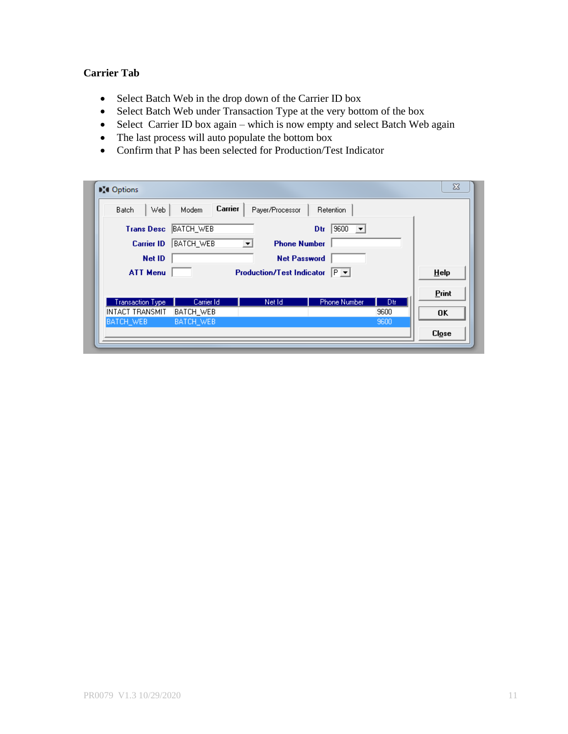## **Carrier Tab**

- Select Batch Web in the drop down of the Carrier ID box
- Select Batch Web under Transaction Type at the very bottom of the box
- Select Carrier ID box again which is now empty and select Batch Web again
- The last process will auto populate the bottom box
- Confirm that P has been selected for Production/Test Indicator

| <b>DI</b> Options       |                  |                                                 |                                        |      | $\overline{\text{23}}$ |
|-------------------------|------------------|-------------------------------------------------|----------------------------------------|------|------------------------|
| Web.<br><b>Batch</b>    | Carrier<br>Modem | Payer/Processor                                 | Retention                              |      |                        |
| <b>Trans Desc</b>       | BATCH_WEB        |                                                 | 9600<br>Dtr<br>$\vert \bm{\tau} \vert$ |      |                        |
| <b>Carrier ID</b>       | <b>BATCH_WEB</b> | <b>Phone Number</b><br>$\vert \mathbf{v} \vert$ |                                        |      |                        |
| Net ID                  |                  | <b>Net Password</b>                             |                                        |      |                        |
| <b>ATT Menu</b>         |                  | <b>Production/Test Indicator</b>                | $P -$                                  |      | HeIp                   |
|                         |                  |                                                 |                                        |      | Print                  |
| <b>Transaction Type</b> | Carrier Id       | Net Id                                          | <b>Phone Number</b>                    | Dtr. |                        |
| INTACT TRANSMIT         | BATCH WEB        |                                                 |                                        | 9600 | 0K                     |
| BATCH_WEB               | BATCH_WEB        |                                                 |                                        | 9600 |                        |
|                         |                  |                                                 |                                        |      | C <i>log</i>           |
|                         |                  |                                                 |                                        |      |                        |